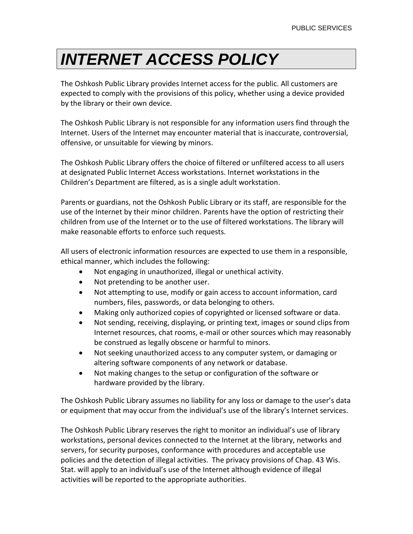## *INTERNET ACCESS POLICY*

The Oshkosh Public Library provides Internet access for the public. All customers are expected to comply with the provisions of this policy, whether using a device provided by the library or their own device.

The Oshkosh Public Library is not responsible for any information users find through the Internet. Users of the Internet may encounter material that is inaccurate, controversial, offensive, or unsuitable for viewing by minors.

The Oshkosh Public Library offers the choice of filtered or unfiltered access to all users at designated Public Internet Access workstations. Internet workstations in the Children's Department are filtered, as is a single adult workstation.

Parents or guardians, not the Oshkosh Public Library or its staff, are responsible for the use of the Internet by their minor children. Parents have the option of restricting their children from use of the Internet or to the use of filtered workstations. The library will make reasonable efforts to enforce such requests.

All users of electronic information resources are expected to use them in a responsible, ethical manner, which includes the following:

- Not engaging in unauthorized, illegal or unethical activity.
- Not pretending to be another user.
- Not attempting to use, modify or gain access to account information, card numbers, files, passwords, or data belonging to others.
- Making only authorized copies of copyrighted or licensed software or data.
- Not sending, receiving, displaying, or printing text, images or sound clips from Internet resources, chat rooms, e-mail or other sources which may reasonably be construed as legally obscene or harmful to minors.
- Not seeking unauthorized access to any computer system, or damaging or altering software components of any network or database.
- Not making changes to the setup or configuration of the software or hardware provided by the library.

The Oshkosh Public Library assumes no liability for any loss or damage to the user's data or equipment that may occur from the individual's use of the library's Internet services.

The Oshkosh Public Library reserves the right to monitor an individual's use of library workstations, personal devices connected to the Internet at the library, networks and servers, for security purposes, conformance with procedures and acceptable use policies and the detection of illegal activities. The privacy provisions of Chap. 43 Wis. Stat. will apply to an individual's use of the Internet although evidence of illegal activities will be reported to the appropriate authorities.